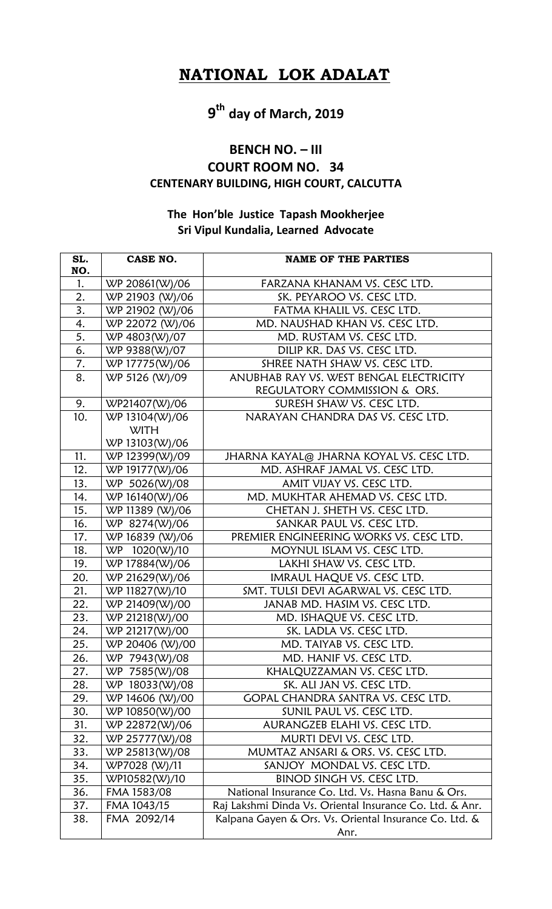## **NATIONAL LOK ADALAT**

# **9 th day of March, 2019**

#### **BENCH NO. – III COURT ROOM NO. 34**

### **CENTENARY BUILDING, HIGH COURT, CALCUTTA**

### **The Hon'ble Justice Tapash Mookherjee Sri Vipul Kundalia, Learned Advocate**

| SL. | CASE NO.                      | <b>NAME OF THE PARTIES</b>                                     |
|-----|-------------------------------|----------------------------------------------------------------|
| NO. |                               |                                                                |
| 1.  | WP 20861(W)/06                | FARZANA KHANAM VS. CESC LTD.                                   |
| 2.  | WP 21903 (W)/06               | SK. PEYAROO VS. CESC LTD.                                      |
| 3.  | WP 21902 (W)/06               | FATMA KHALIL VS. CESC LTD.                                     |
| 4.  | WP 22072 (W)/06               | MD. NAUSHAD KHAN VS. CESC LTD.                                 |
| 5.  | WP 4803(W)/07                 | MD. RUSTAM VS. CESC LTD.                                       |
| 6.  | WP 9388(W)/07                 | DILIP KR. DAS VS. CESC LTD.                                    |
| 7.  | WP 17775(W)/06                | SHREE NATH SHAW VS. CESC LTD.                                  |
| 8.  | WP 5126 (W)/09                | ANUBHAB RAY VS. WEST BENGAL ELECTRICITY                        |
|     |                               | REGULATORY COMMISSION & ORS.                                   |
| 9.  | WP21407(W)/06                 | SURESH SHAW VS. CESC LTD.<br>NARAYAN CHANDRA DAS VS. CESC LTD. |
| 10. | WP 13104(W)/06<br><b>WITH</b> |                                                                |
|     | WP 13103(W)/06                |                                                                |
| 11. | WP 12399(W)/09                | JHARNA KAYAL@ JHARNA KOYAL VS. CESC LTD.                       |
| 12. | WP 19177(W)/06                | MD. ASHRAF JAMAL VS. CESC LTD.                                 |
| 13. | WP 5026(W)/08                 | AMIT VIJAY VS. CESC LTD.                                       |
| 14. | WP 16140(W)/06                | MD. MUKHTAR AHEMAD VS. CESC LTD.                               |
| 15. | WP 11389 (W)/06               | CHETAN J. SHETH VS. CESC LTD.                                  |
| 16. | WP 8274(W)/06                 | SANKAR PAUL VS. CESC LTD.                                      |
| 17. | WP 16839 (W)/06               | PREMIER ENGINEERING WORKS VS. CESC LTD.                        |
| 18. | WP 1020(W)/10                 | MOYNUL ISLAM VS. CESC LTD.                                     |
| 19. | WP 17884(W)/06                | LAKHI SHAW VS. CESC LTD.                                       |
| 20. | WP 21629(W)/06                | IMRAUL HAQUE VS. CESC LTD.                                     |
| 21. | WP 11827(W)/10                | SMT. TULSI DEVI AGARWAL VS. CESC LTD.                          |
| 22. | WP 21409(W)/00                | JANAB MD. HASIM VS. CESC LTD.                                  |
| 23. | WP 21218(W)/00                | MD. ISHAQUE VS. CESC LTD.                                      |
| 24. | WP 21217(W)/00                | SK. LADLA VS. CESC LTD.                                        |
| 25. | WP 20406 (W)/00               | MD. TAIYAB VS. CESC LTD.                                       |
| 26. | WP 7943(W)/08                 | MD. HANIF VS. CESC LTD.                                        |
| 27. | WP 7585(W)/08                 | KHALQUZZAMAN VS. CESC LTD.                                     |
| 28. | WP 18033(W)/08                | SK. ALI JAN VS. CESC LTD.                                      |
| 29. | WP 14606 (W)/00               | GOPAL CHANDRA SANTRA VS. CESC LTD.                             |
| 30. | WP 10850(W)/00                | SUNIL PAUL VS. CESC LTD.                                       |
| 31. | WP 22872(W)/06                | AURANGZEB ELAHI VS. CESC LTD.                                  |
| 32. | WP 25777(W)/08                | MURTI DEVI VS. CESC LTD.                                       |
| 33. | WP 25813(W)/08                | MUMTAZ ANSARI & ORS. VS. CESC LTD.                             |
| 34. | WP7028 (W)/11                 | SANJOY MONDAL VS. CESC LTD.                                    |
| 35. | WP10582(W)/10                 | BINOD SINGH VS. CESC LTD.                                      |
| 36. | FMA 1583/08                   | National Insurance Co. Ltd. Vs. Hasna Banu & Ors.              |
| 37. | FMA 1043/15                   | Raj Lakshmi Dinda Vs. Oriental Insurance Co. Ltd. & Anr.       |
| 38. | FMA 2092/14                   | Kalpana Gayen & Ors. Vs. Oriental Insurance Co. Ltd. &         |
|     |                               | Anr.                                                           |